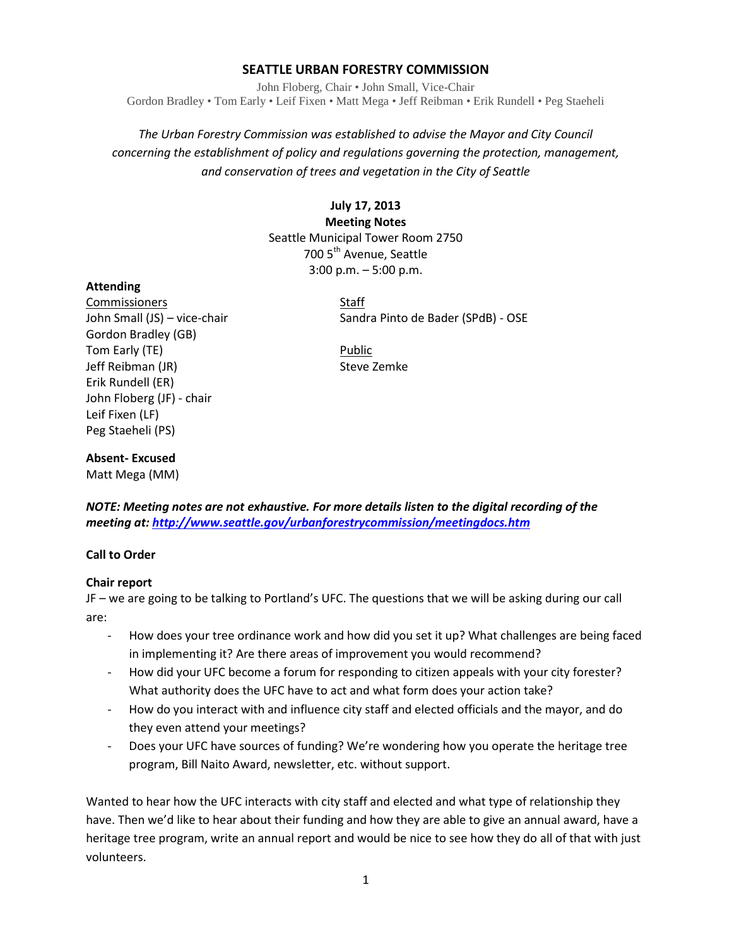# **SEATTLE URBAN FORESTRY COMMISSION**

John Floberg, Chair • John Small, Vice-Chair Gordon Bradley • Tom Early • Leif Fixen • Matt Mega • Jeff Reibman • Erik Rundell • Peg Staeheli

*The Urban Forestry Commission was established to advise the Mayor and City Council concerning the establishment of policy and regulations governing the protection, management, and conservation of trees and vegetation in the City of Seattle*

> **July 17, 2013 Meeting Notes** Seattle Municipal Tower Room 2750 700 5<sup>th</sup> Avenue, Seattle 3:00 p.m. – 5:00 p.m.

## **Attending**

Commissioners Staff Gordon Bradley (GB) Tom Early (TE) **Public** Jeff Reibman (JR) Steve Zemke Erik Rundell (ER) John Floberg (JF) - chair Leif Fixen (LF) Peg Staeheli (PS)

John Small (JS) – vice-chair Sandra Pinto de Bader (SPdB) - OSE

## **Absent- Excused**

Matt Mega (MM)

*NOTE: Meeting notes are not exhaustive. For more details listen to the digital recording of the meeting at[: http://www.seattle.gov/urbanforestrycommission/meetingdocs.htm](http://www.seattle.gov/urbanforestrycommission/meetingdocs.htm)*

## **Call to Order**

## **Chair report**

JF – we are going to be talking to Portland's UFC. The questions that we will be asking during our call are:

- How does your tree ordinance work and how did you set it up? What challenges are being faced in implementing it? Are there areas of improvement you would recommend?
- How did your UFC become a forum for responding to citizen appeals with your city forester? What authority does the UFC have to act and what form does your action take?
- How do you interact with and influence city staff and elected officials and the mayor, and do they even attend your meetings?
- Does your UFC have sources of funding? We're wondering how you operate the heritage tree program, Bill Naito Award, newsletter, etc. without support.

Wanted to hear how the UFC interacts with city staff and elected and what type of relationship they have. Then we'd like to hear about their funding and how they are able to give an annual award, have a heritage tree program, write an annual report and would be nice to see how they do all of that with just volunteers.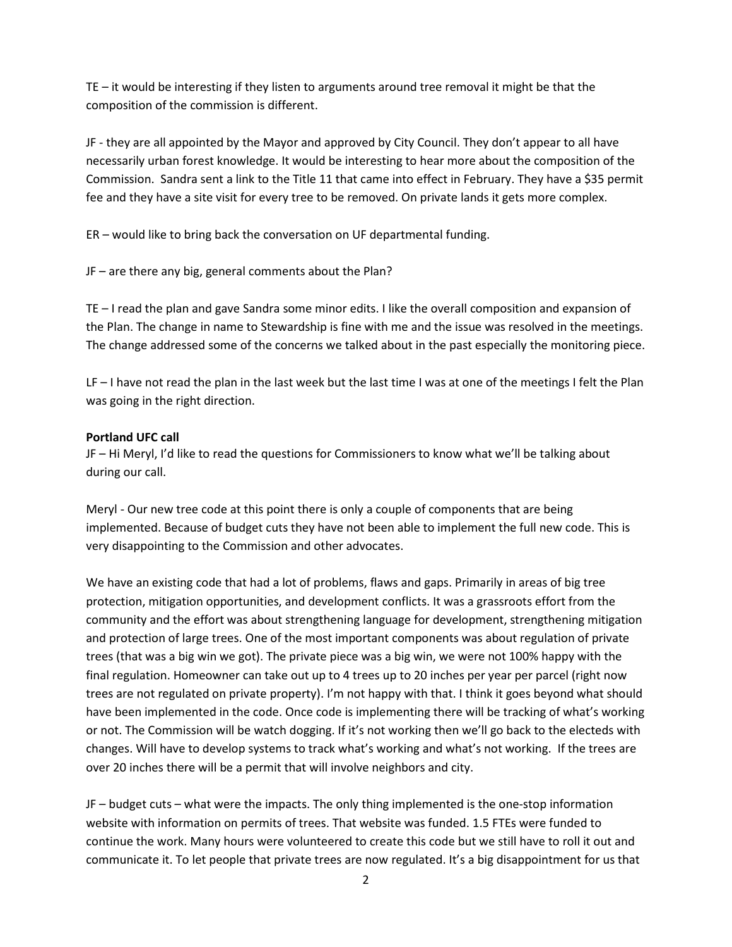TE – it would be interesting if they listen to arguments around tree removal it might be that the composition of the commission is different.

JF - they are all appointed by the Mayor and approved by City Council. They don't appear to all have necessarily urban forest knowledge. It would be interesting to hear more about the composition of the Commission. Sandra sent a link to the Title 11 that came into effect in February. They have a \$35 permit fee and they have a site visit for every tree to be removed. On private lands it gets more complex.

ER – would like to bring back the conversation on UF departmental funding.

JF – are there any big, general comments about the Plan?

TE – I read the plan and gave Sandra some minor edits. I like the overall composition and expansion of the Plan. The change in name to Stewardship is fine with me and the issue was resolved in the meetings. The change addressed some of the concerns we talked about in the past especially the monitoring piece.

LF – I have not read the plan in the last week but the last time I was at one of the meetings I felt the Plan was going in the right direction.

## **Portland UFC call**

JF – Hi Meryl, I'd like to read the questions for Commissioners to know what we'll be talking about during our call.

Meryl - Our new tree code at this point there is only a couple of components that are being implemented. Because of budget cuts they have not been able to implement the full new code. This is very disappointing to the Commission and other advocates.

We have an existing code that had a lot of problems, flaws and gaps. Primarily in areas of big tree protection, mitigation opportunities, and development conflicts. It was a grassroots effort from the community and the effort was about strengthening language for development, strengthening mitigation and protection of large trees. One of the most important components was about regulation of private trees (that was a big win we got). The private piece was a big win, we were not 100% happy with the final regulation. Homeowner can take out up to 4 trees up to 20 inches per year per parcel (right now trees are not regulated on private property). I'm not happy with that. I think it goes beyond what should have been implemented in the code. Once code is implementing there will be tracking of what's working or not. The Commission will be watch dogging. If it's not working then we'll go back to the electeds with changes. Will have to develop systems to track what's working and what's not working. If the trees are over 20 inches there will be a permit that will involve neighbors and city.

JF – budget cuts – what were the impacts. The only thing implemented is the one-stop information website with information on permits of trees. That website was funded. 1.5 FTEs were funded to continue the work. Many hours were volunteered to create this code but we still have to roll it out and communicate it. To let people that private trees are now regulated. It's a big disappointment for us that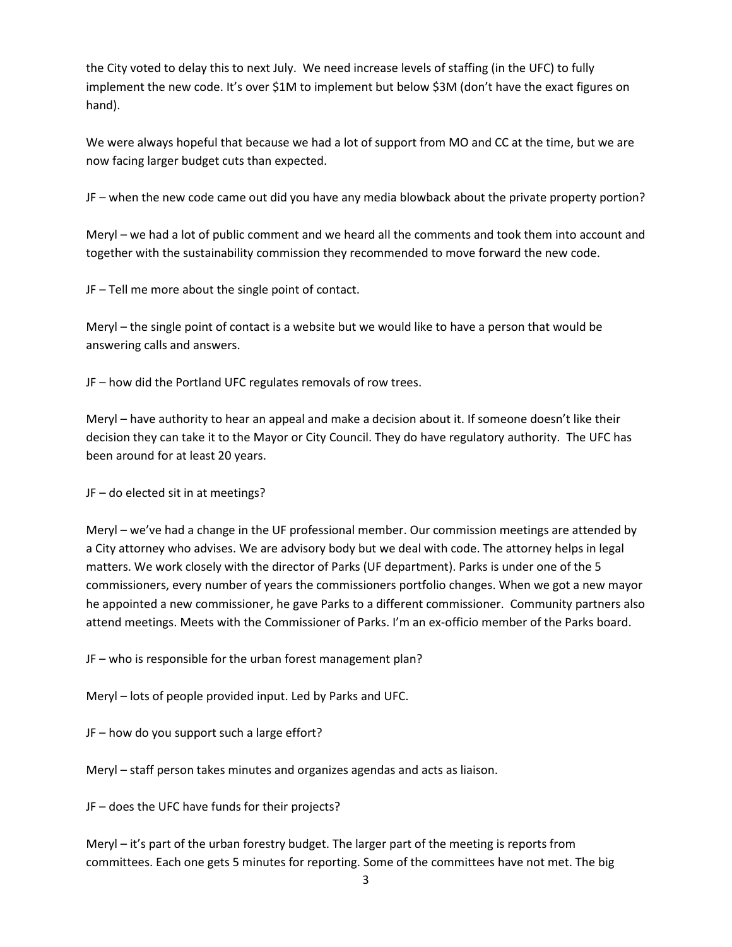the City voted to delay this to next July. We need increase levels of staffing (in the UFC) to fully implement the new code. It's over \$1M to implement but below \$3M (don't have the exact figures on hand).

We were always hopeful that because we had a lot of support from MO and CC at the time, but we are now facing larger budget cuts than expected.

JF – when the new code came out did you have any media blowback about the private property portion?

Meryl – we had a lot of public comment and we heard all the comments and took them into account and together with the sustainability commission they recommended to move forward the new code.

JF – Tell me more about the single point of contact.

Meryl – the single point of contact is a website but we would like to have a person that would be answering calls and answers.

JF – how did the Portland UFC regulates removals of row trees.

Meryl – have authority to hear an appeal and make a decision about it. If someone doesn't like their decision they can take it to the Mayor or City Council. They do have regulatory authority. The UFC has been around for at least 20 years.

JF – do elected sit in at meetings?

Meryl – we've had a change in the UF professional member. Our commission meetings are attended by a City attorney who advises. We are advisory body but we deal with code. The attorney helps in legal matters. We work closely with the director of Parks (UF department). Parks is under one of the 5 commissioners, every number of years the commissioners portfolio changes. When we got a new mayor he appointed a new commissioner, he gave Parks to a different commissioner. Community partners also attend meetings. Meets with the Commissioner of Parks. I'm an ex-officio member of the Parks board.

JF – who is responsible for the urban forest management plan?

Meryl – lots of people provided input. Led by Parks and UFC.

JF – how do you support such a large effort?

Meryl – staff person takes minutes and organizes agendas and acts as liaison.

JF – does the UFC have funds for their projects?

Meryl – it's part of the urban forestry budget. The larger part of the meeting is reports from committees. Each one gets 5 minutes for reporting. Some of the committees have not met. The big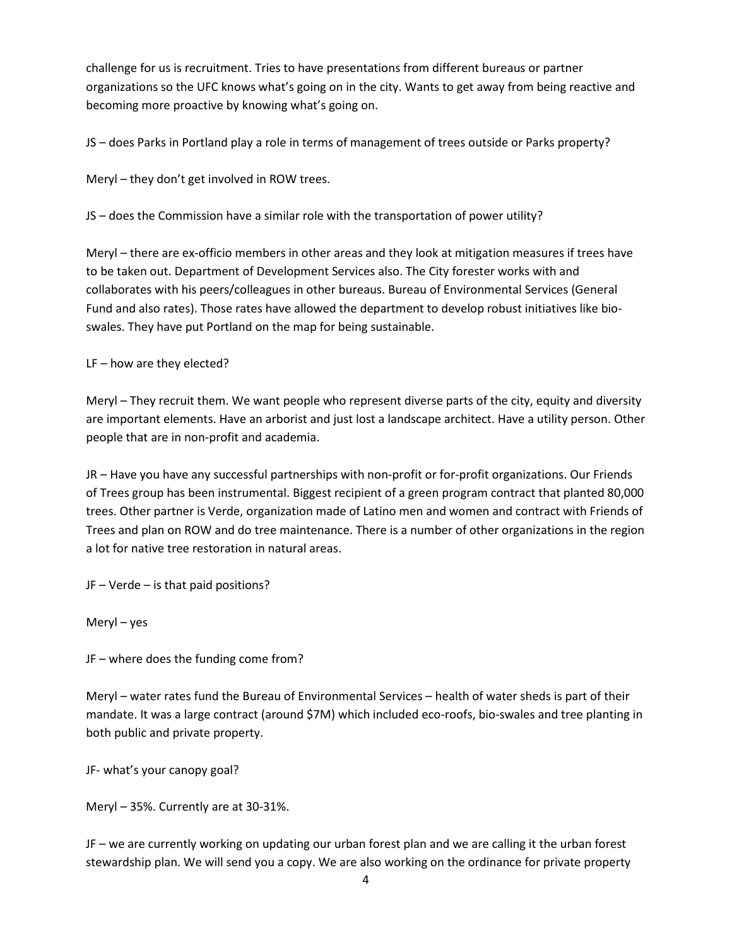challenge for us is recruitment. Tries to have presentations from different bureaus or partner organizations so the UFC knows what's going on in the city. Wants to get away from being reactive and becoming more proactive by knowing what's going on.

JS – does Parks in Portland play a role in terms of management of trees outside or Parks property?

Meryl – they don't get involved in ROW trees.

JS – does the Commission have a similar role with the transportation of power utility?

Meryl – there are ex-officio members in other areas and they look at mitigation measures if trees have to be taken out. Department of Development Services also. The City forester works with and collaborates with his peers/colleagues in other bureaus. Bureau of Environmental Services (General Fund and also rates). Those rates have allowed the department to develop robust initiatives like bioswales. They have put Portland on the map for being sustainable.

LF – how are they elected?

Meryl – They recruit them. We want people who represent diverse parts of the city, equity and diversity are important elements. Have an arborist and just lost a landscape architect. Have a utility person. Other people that are in non-profit and academia.

JR – Have you have any successful partnerships with non-profit or for-profit organizations. Our Friends of Trees group has been instrumental. Biggest recipient of a green program contract that planted 80,000 trees. Other partner is Verde, organization made of Latino men and women and contract with Friends of Trees and plan on ROW and do tree maintenance. There is a number of other organizations in the region a lot for native tree restoration in natural areas.

JF – Verde – is that paid positions?

Meryl – yes

JF – where does the funding come from?

Meryl – water rates fund the Bureau of Environmental Services – health of water sheds is part of their mandate. It was a large contract (around \$7M) which included eco-roofs, bio-swales and tree planting in both public and private property.

JF- what's your canopy goal?

Meryl – 35%. Currently are at 30-31%.

JF – we are currently working on updating our urban forest plan and we are calling it the urban forest stewardship plan. We will send you a copy. We are also working on the ordinance for private property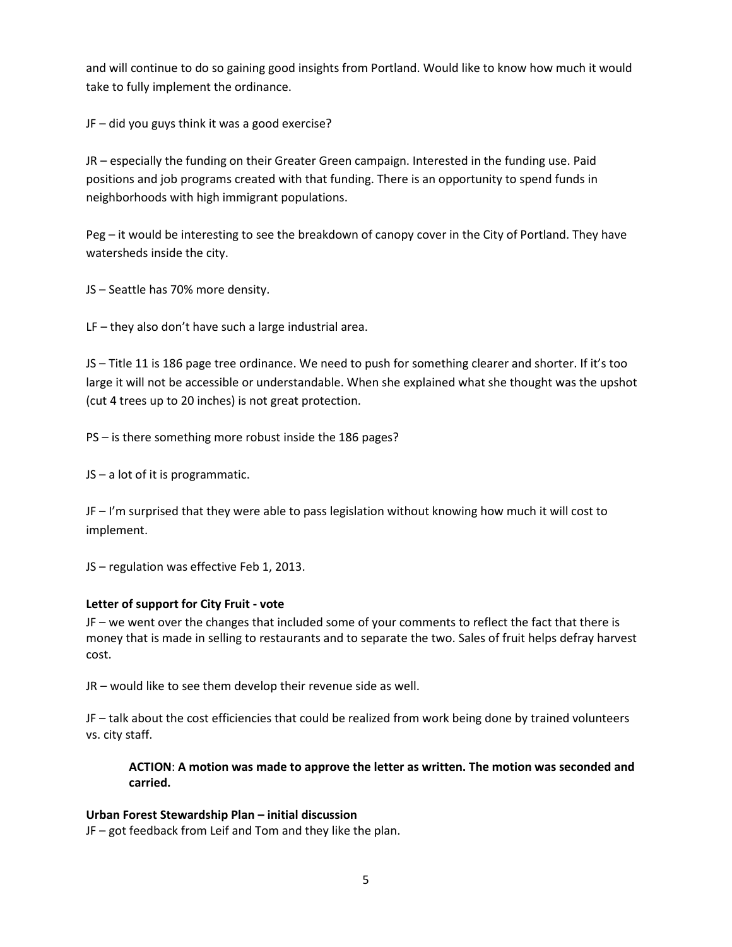and will continue to do so gaining good insights from Portland. Would like to know how much it would take to fully implement the ordinance.

JF – did you guys think it was a good exercise?

JR – especially the funding on their Greater Green campaign. Interested in the funding use. Paid positions and job programs created with that funding. There is an opportunity to spend funds in neighborhoods with high immigrant populations.

Peg – it would be interesting to see the breakdown of canopy cover in the City of Portland. They have watersheds inside the city.

JS – Seattle has 70% more density.

LF – they also don't have such a large industrial area.

JS – Title 11 is 186 page tree ordinance. We need to push for something clearer and shorter. If it's too large it will not be accessible or understandable. When she explained what she thought was the upshot (cut 4 trees up to 20 inches) is not great protection.

PS – is there something more robust inside the 186 pages?

JS – a lot of it is programmatic.

JF – I'm surprised that they were able to pass legislation without knowing how much it will cost to implement.

JS – regulation was effective Feb 1, 2013.

### **Letter of support for City Fruit - vote**

JF – we went over the changes that included some of your comments to reflect the fact that there is money that is made in selling to restaurants and to separate the two. Sales of fruit helps defray harvest cost.

JR – would like to see them develop their revenue side as well.

JF – talk about the cost efficiencies that could be realized from work being done by trained volunteers vs. city staff.

**ACTION**: **A motion was made to approve the letter as written. The motion was seconded and carried.** 

### **Urban Forest Stewardship Plan – initial discussion**

JF – got feedback from Leif and Tom and they like the plan.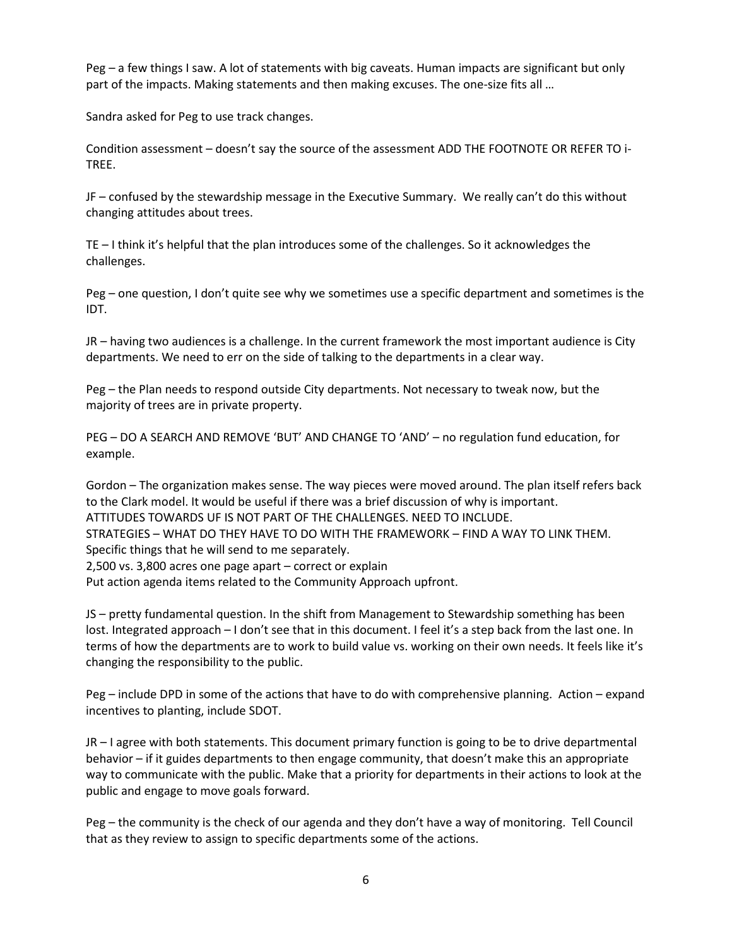Peg – a few things I saw. A lot of statements with big caveats. Human impacts are significant but only part of the impacts. Making statements and then making excuses. The one-size fits all …

Sandra asked for Peg to use track changes.

Condition assessment – doesn't say the source of the assessment ADD THE FOOTNOTE OR REFER TO i-TREE.

JF – confused by the stewardship message in the Executive Summary. We really can't do this without changing attitudes about trees.

TE – I think it's helpful that the plan introduces some of the challenges. So it acknowledges the challenges.

Peg – one question, I don't quite see why we sometimes use a specific department and sometimes is the IDT.

JR – having two audiences is a challenge. In the current framework the most important audience is City departments. We need to err on the side of talking to the departments in a clear way.

Peg – the Plan needs to respond outside City departments. Not necessary to tweak now, but the majority of trees are in private property.

PEG – DO A SEARCH AND REMOVE 'BUT' AND CHANGE TO 'AND' – no regulation fund education, for example.

Gordon – The organization makes sense. The way pieces were moved around. The plan itself refers back to the Clark model. It would be useful if there was a brief discussion of why is important. ATTITUDES TOWARDS UF IS NOT PART OF THE CHALLENGES. NEED TO INCLUDE. STRATEGIES – WHAT DO THEY HAVE TO DO WITH THE FRAMEWORK – FIND A WAY TO LINK THEM. Specific things that he will send to me separately. 2,500 vs. 3,800 acres one page apart – correct or explain Put action agenda items related to the Community Approach upfront.

JS – pretty fundamental question. In the shift from Management to Stewardship something has been lost. Integrated approach – I don't see that in this document. I feel it's a step back from the last one. In terms of how the departments are to work to build value vs. working on their own needs. It feels like it's changing the responsibility to the public.

Peg – include DPD in some of the actions that have to do with comprehensive planning. Action – expand incentives to planting, include SDOT.

JR – I agree with both statements. This document primary function is going to be to drive departmental behavior – if it guides departments to then engage community, that doesn't make this an appropriate way to communicate with the public. Make that a priority for departments in their actions to look at the public and engage to move goals forward.

Peg – the community is the check of our agenda and they don't have a way of monitoring. Tell Council that as they review to assign to specific departments some of the actions.